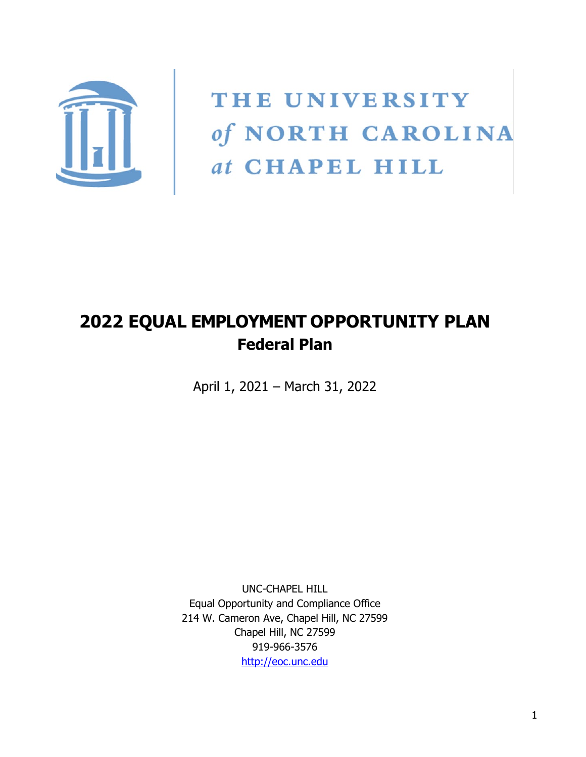

THE UNIVERSITY of NORTH CAROLINA at CHAPEL HILL

# **2022 EQUAL EMPLOYMENT OPPORTUNITY PLAN Federal Plan**

April 1, 2021 – March 31, 2022

UNC-CHAPEL HILL Equal Opportunity and Compliance Office 214 W. Cameron Ave, Chapel Hill, NC 27599 Chapel Hill, NC 27599 919-966-3576 [http://eoc.unc.edu](http://eoc.unc.edu/)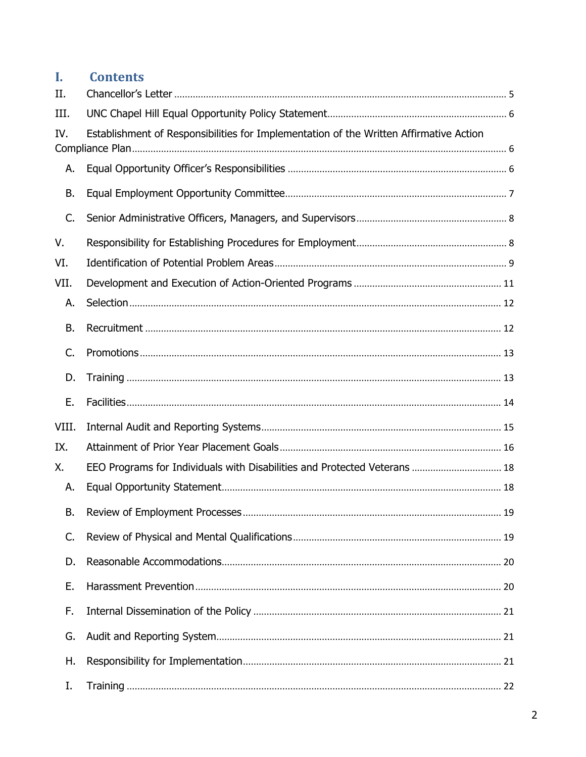#### Ī. **Contents**

| II.   |                                                                                        |  |
|-------|----------------------------------------------------------------------------------------|--|
| III.  |                                                                                        |  |
| IV.   | Establishment of Responsibilities for Implementation of the Written Affirmative Action |  |
| А.    |                                                                                        |  |
|       |                                                                                        |  |
| В.    |                                                                                        |  |
| C.    |                                                                                        |  |
| V.    |                                                                                        |  |
| VI.   |                                                                                        |  |
| VII.  |                                                                                        |  |
| А.    |                                                                                        |  |
| Β.    |                                                                                        |  |
| C.    |                                                                                        |  |
| D.    |                                                                                        |  |
| Ε.    |                                                                                        |  |
| VIII. |                                                                                        |  |
| IX.   |                                                                                        |  |
| Χ.    | EEO Programs for Individuals with Disabilities and Protected Veterans  18              |  |
| А.    |                                                                                        |  |
| В.    |                                                                                        |  |
| C.    |                                                                                        |  |
| D.    |                                                                                        |  |
| Ε.    |                                                                                        |  |
| F.    |                                                                                        |  |
| G.    |                                                                                        |  |
| Η.    |                                                                                        |  |
| Ι.    |                                                                                        |  |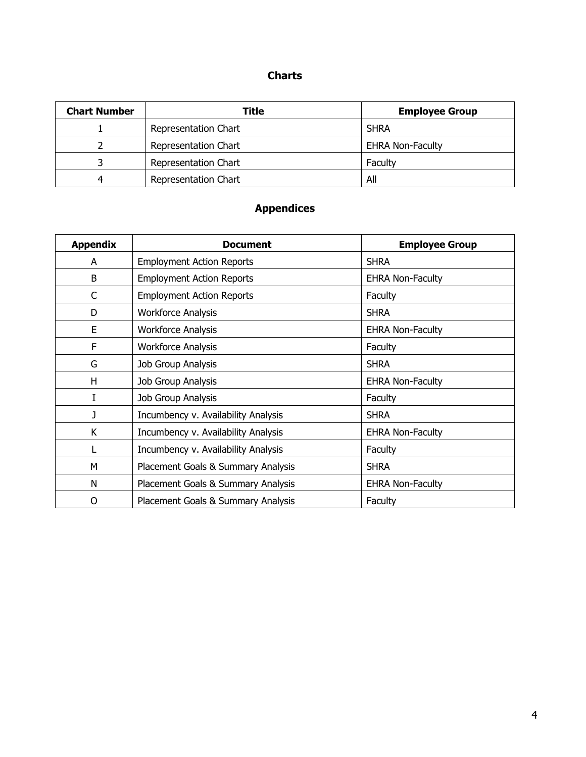#### **Charts**

| <b>Chart Number</b> | Title                | <b>Employee Group</b>   |
|---------------------|----------------------|-------------------------|
|                     | Representation Chart | <b>SHRA</b>             |
|                     | Representation Chart | <b>EHRA Non-Faculty</b> |
|                     | Representation Chart | Faculty                 |
|                     | Representation Chart | All                     |

# **Appendices**

| <b>Appendix</b> | <b>Document</b>                     | <b>Employee Group</b>   |
|-----------------|-------------------------------------|-------------------------|
| A               | <b>Employment Action Reports</b>    | <b>SHRA</b>             |
| B               | <b>Employment Action Reports</b>    | <b>EHRA Non-Faculty</b> |
| C               | <b>Employment Action Reports</b>    | Faculty                 |
| D               | <b>Workforce Analysis</b>           | <b>SHRA</b>             |
| E               | <b>Workforce Analysis</b>           | <b>EHRA Non-Faculty</b> |
| F               | <b>Workforce Analysis</b>           | Faculty                 |
| G               | Job Group Analysis                  | <b>SHRA</b>             |
| H               | Job Group Analysis                  | <b>EHRA Non-Faculty</b> |
| I               | Job Group Analysis                  | Faculty                 |
| J               | Incumbency v. Availability Analysis | <b>SHRA</b>             |
| K               | Incumbency v. Availability Analysis | <b>EHRA Non-Faculty</b> |
|                 | Incumbency v. Availability Analysis | Faculty                 |
| M               | Placement Goals & Summary Analysis  | <b>SHRA</b>             |
| N               | Placement Goals & Summary Analysis  | <b>EHRA Non-Faculty</b> |
| 0               | Placement Goals & Summary Analysis  | Faculty                 |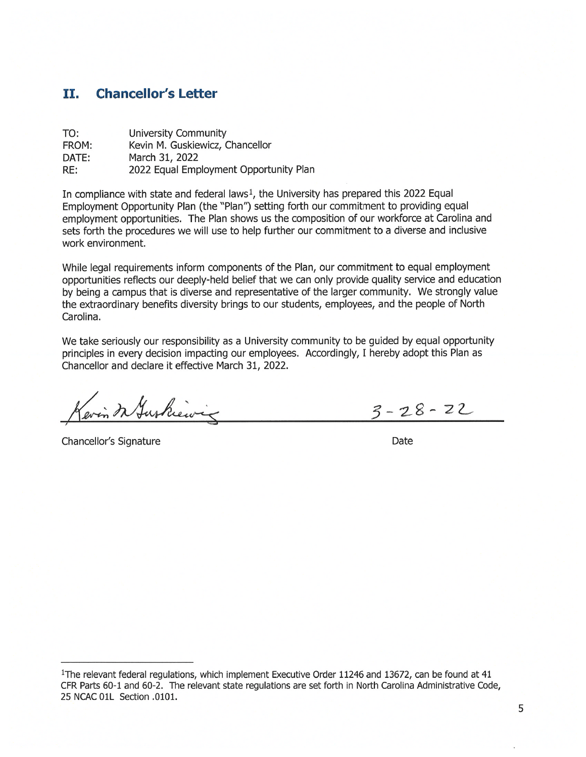#### **Chancellor's Letter** п.

| TO:   | University Community                   |
|-------|----------------------------------------|
| FROM: | Kevin M. Guskiewicz, Chancellor        |
| DATE: | March 31, 2022                         |
| RE:   | 2022 Equal Employment Opportunity Plan |

In compliance with state and federal laws<sup>1</sup>, the University has prepared this 2022 Equal Employment Opportunity Plan (the "Plan") setting forth our commitment to providing equal employment opportunities. The Plan shows us the composition of our workforce at Carolina and sets forth the procedures we will use to help further our commitment to a diverse and inclusive work environment.

While legal requirements inform components of the Plan, our commitment to equal employment opportunities reflects our deeply-held belief that we can only provide quality service and education by being a campus that is diverse and representative of the larger community. We strongly value the extraordinary benefits diversity brings to our students, employees, and the people of North Carolina.

We take seriously our responsibility as a University community to be guided by equal opportunity principles in every decision impacting our employees. Accordingly, I hereby adopt this Plan as Chancellor and declare it effective March 31, 2022.

evin In Juskiewig  $3 - 28 - 22$ 

Chancellor's Signature

Date

<sup>&</sup>lt;sup>1</sup>The relevant federal regulations, which implement Executive Order 11246 and 13672, can be found at 41 CFR Parts 60-1 and 60-2. The relevant state regulations are set forth in North Carolina Administrative Code, 25 NCAC 01L Section .0101.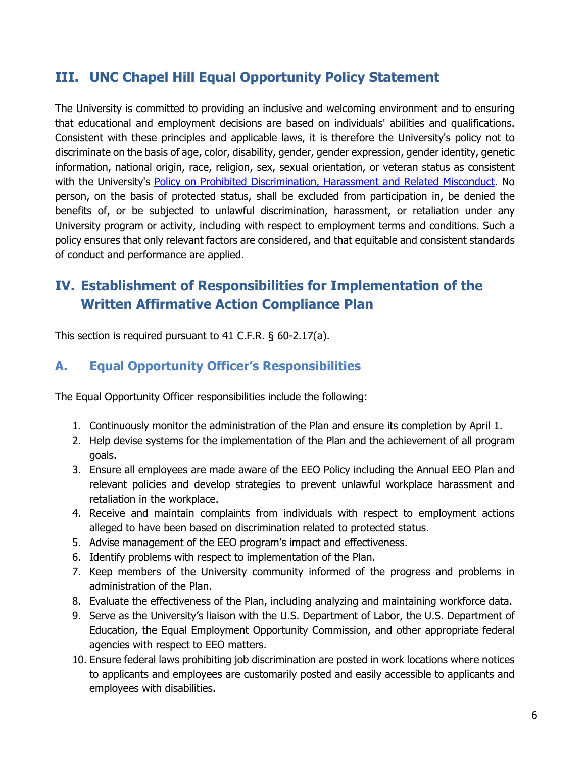# <span id="page-5-0"></span>**III. UNC Chapel Hill Equal Opportunity Policy Statement**

The University is committed to providing an inclusive and welcoming environment and to ensuring that educational and employment decisions are based on individuals' abilities and qualifications. Consistent with these principles and applicable laws, it is therefore the University's policy not to discriminate on the basis of age, color, disability, gender, gender expression, gender identity, genetic information, national origin, race, religion, sex, sexual orientation, or veteran status as consistent with the University's [Policy on Prohibited Discrimination, Harassment and Related Misconduct.](https://policies.unc.edu/TDClient/2833/Portal/KB/ArticleDet?ID=132487#autoid-drq2r) No person, on the basis of protected status, shall be excluded from participation in, be denied the benefits of, or be subjected to unlawful discrimination, harassment, or retaliation under any University program or activity, including with respect to employment terms and conditions. Such a policy ensures that only relevant factors are considered, and that equitable and consistent standards of conduct and performance are applied.

# <span id="page-5-1"></span>**IV. Establishment of Responsibilities for Implementation of the Written Affirmative Action Compliance Plan**

This section is required pursuant to 41 C.F.R. § 60-2.17(a).

#### <span id="page-5-2"></span>**A. Equal Opportunity Officer's Responsibilities**

The Equal Opportunity Officer responsibilities include the following:

- 1. Continuously monitor the administration of the Plan and ensure its completion by April 1.
- 2. Help devise systems for the implementation of the Plan and the achievement of all program goals.
- 3. Ensure all employees are made aware of the EEO Policy including the Annual EEO Plan and relevant policies and develop strategies to prevent unlawful workplace harassment and retaliation in the workplace.
- 4. Receive and maintain complaints from individuals with respect to employment actions alleged to have been based on discrimination related to protected status.
- 5. Advise management of the EEO program's impact and effectiveness.
- 6. Identify problems with respect to implementation of the Plan.
- 7. Keep members of the University community informed of the progress and problems in administration of the Plan.
- 8. Evaluate the effectiveness of the Plan, including analyzing and maintaining workforce data.
- 9. Serve as the University's liaison with the U.S. Department of Labor, the U.S. Department of Education, the Equal Employment Opportunity Commission, and other appropriate federal agencies with respect to EEO matters.
- 10. Ensure federal laws prohibiting job discrimination are posted in work locations where notices to applicants and employees are customarily posted and easily accessible to applicants and employees with disabilities.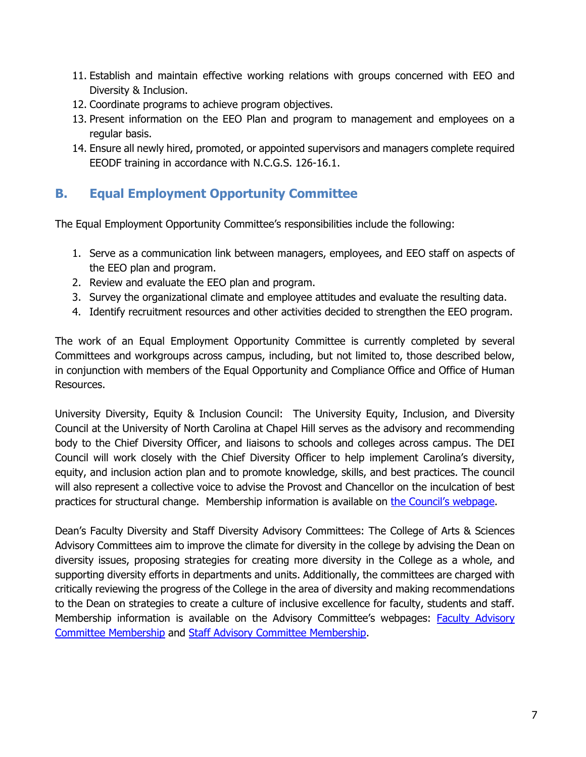- 11. Establish and maintain effective working relations with groups concerned with EEO and Diversity & Inclusion.
- 12. Coordinate programs to achieve program objectives.
- 13. Present information on the EEO Plan and program to management and employees on a regular basis.
- 14. Ensure all newly hired, promoted, or appointed supervisors and managers complete required EEODF training in accordance with N.C.G.S. 126-16.1.

### <span id="page-6-0"></span>**B. Equal Employment Opportunity Committee**

The Equal Employment Opportunity Committee's responsibilities include the following:

- 1. Serve as a communication link between managers, employees, and EEO staff on aspects of the EEO plan and program.
- 2. Review and evaluate the EEO plan and program.
- 3. Survey the organizational climate and employee attitudes and evaluate the resulting data.
- 4. Identify recruitment resources and other activities decided to strengthen the EEO program.

The work of an Equal Employment Opportunity Committee is currently completed by several Committees and workgroups across campus, including, but not limited to, those described below, in conjunction with members of the Equal Opportunity and Compliance Office and Office of Human Resources.

University Diversity, Equity & Inclusion Council: The University Equity, Inclusion, and Diversity Council at the University of North Carolina at Chapel Hill serves as the advisory and recommending body to the Chief Diversity Officer, and liaisons to schools and colleges across campus. The DEI Council will work closely with the Chief Diversity Officer to help implement Carolina's diversity, equity, and inclusion action plan and to promote knowledge, skills, and best practices. The council will also represent a collective voice to advise the Provost and Chancellor on the inculcation of best practices for structural change. Membership information is available on [the Council's webpage.](https://diversity.unc.edu/university-diversity-equity-and-inclusion-council/)

Dean's Faculty Diversity and Staff Diversity Advisory Committees: The College of Arts & Sciences Advisory Committees aim to improve the climate for diversity in the college by advising the Dean on diversity issues, proposing strategies for creating more diversity in the College as a whole, and supporting diversity efforts in departments and units. Additionally, the committees are charged with critically reviewing the progress of the College in the area of diversity and making recommendations to the Dean on strategies to create a culture of inclusive excellence for faculty, students and staff. Membership information is available on the Advisory Committee's webpages: [Faculty Advisory](https://college-diversity.unc.edu/faculty-advisory-committee/)  [Committee Membership](https://college-diversity.unc.edu/faculty-advisory-committee/) and [Staff Advisory Committee Membership.](https://college-diversity.unc.edu/staff-advisory-committee/)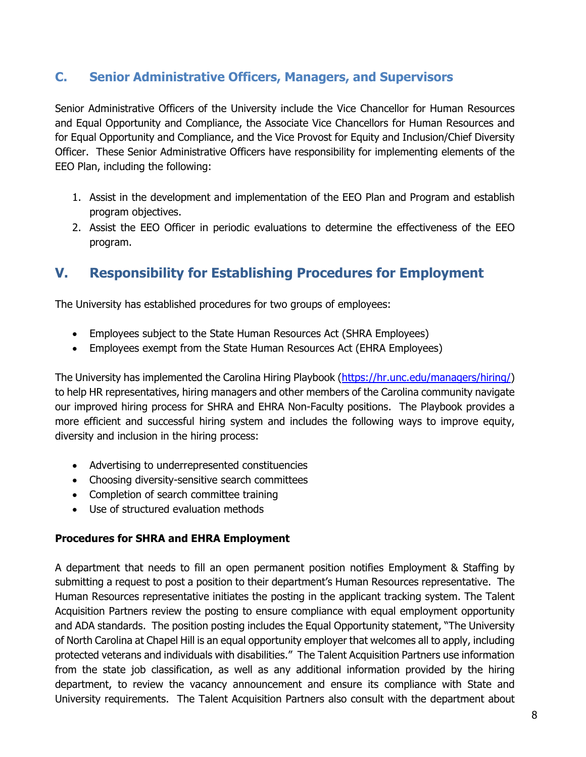### <span id="page-7-0"></span>**C. Senior Administrative Officers, Managers, and Supervisors**

Senior Administrative Officers of the University include the Vice Chancellor for Human Resources and Equal Opportunity and Compliance, the Associate Vice Chancellors for Human Resources and for Equal Opportunity and Compliance, and the Vice Provost for Equity and Inclusion/Chief Diversity Officer. These Senior Administrative Officers have responsibility for implementing elements of the EEO Plan, including the following:

- 1. Assist in the development and implementation of the EEO Plan and Program and establish program objectives.
- 2. Assist the EEO Officer in periodic evaluations to determine the effectiveness of the EEO program.

# <span id="page-7-1"></span>**V. Responsibility for Establishing Procedures for Employment**

The University has established procedures for two groups of employees:

- Employees subject to the State Human Resources Act (SHRA Employees)
- Employees exempt from the State Human Resources Act (EHRA Employees)

The University has implemented the Carolina Hiring Playbook [\(https://hr.unc.edu/managers/hiring/\)](https://hr.unc.edu/managers/hiring/) to help HR representatives, hiring managers and other members of the Carolina community navigate our improved hiring process for SHRA and EHRA Non-Faculty positions. The Playbook provides a more efficient and successful hiring system and includes the following ways to improve equity, diversity and inclusion in the hiring process:

- Advertising to underrepresented constituencies
- Choosing diversity-sensitive search committees
- Completion of search committee training
- Use of structured evaluation methods

#### **Procedures for SHRA and EHRA Employment**

A department that needs to fill an open permanent position notifies Employment & Staffing by submitting a request to post a position to their department's Human Resources representative. The Human Resources representative initiates the posting in the applicant tracking system. The Talent Acquisition Partners review the posting to ensure compliance with equal employment opportunity and ADA standards. The position posting includes the Equal Opportunity statement, "The University of North Carolina at Chapel Hill is an equal opportunity employer that welcomes all to apply, including protected veterans and individuals with disabilities." The Talent Acquisition Partners use information from the state job classification, as well as any additional information provided by the hiring department, to review the vacancy announcement and ensure its compliance with State and University requirements. The Talent Acquisition Partners also consult with the department about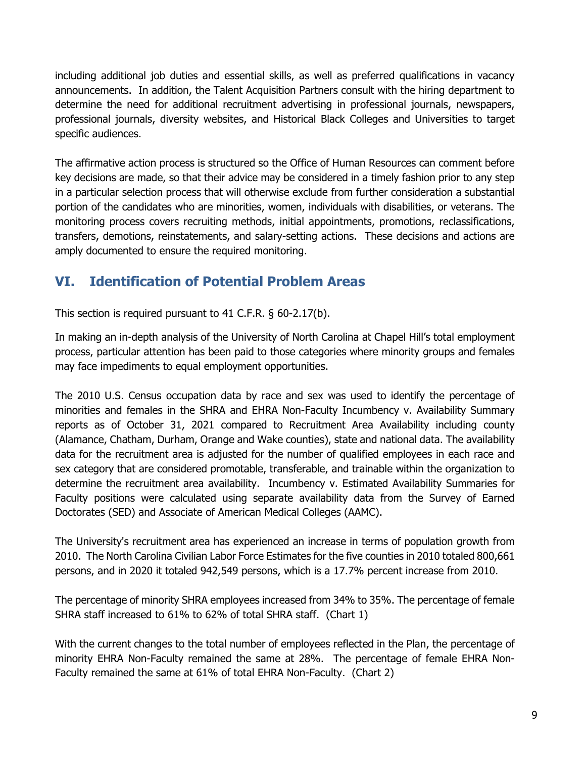including additional job duties and essential skills, as well as preferred qualifications in vacancy announcements. In addition, the Talent Acquisition Partners consult with the hiring department to determine the need for additional recruitment advertising in professional journals, newspapers, professional journals, diversity websites, and Historical Black Colleges and Universities to target specific audiences.

The affirmative action process is structured so the Office of Human Resources can comment before key decisions are made, so that their advice may be considered in a timely fashion prior to any step in a particular selection process that will otherwise exclude from further consideration a substantial portion of the candidates who are minorities, women, individuals with disabilities, or veterans. The monitoring process covers recruiting methods, initial appointments, promotions, reclassifications, transfers, demotions, reinstatements, and salary-setting actions. These decisions and actions are amply documented to ensure the required monitoring.

# <span id="page-8-0"></span>**VI. Identification of Potential Problem Areas**

This section is required pursuant to 41 C.F.R. § 60-2.17(b).

In making an in-depth analysis of the University of North Carolina at Chapel Hill's total employment process, particular attention has been paid to those categories where minority groups and females may face impediments to equal employment opportunities.

The 2010 U.S. Census occupation data by race and sex was used to identify the percentage of minorities and females in the SHRA and EHRA Non-Faculty Incumbency v. Availability Summary reports as of October 31, 2021 compared to Recruitment Area Availability including county (Alamance, Chatham, Durham, Orange and Wake counties), state and national data. The availability data for the recruitment area is adjusted for the number of qualified employees in each race and sex category that are considered promotable, transferable, and trainable within the organization to determine the recruitment area availability. Incumbency v. Estimated Availability Summaries for Faculty positions were calculated using separate availability data from the Survey of Earned Doctorates (SED) and Associate of American Medical Colleges (AAMC).

The University's recruitment area has experienced an increase in terms of population growth from 2010. The North Carolina Civilian Labor Force Estimates for the five counties in 2010 totaled 800,661 persons, and in 2020 it totaled 942,549 persons, which is a 17.7% percent increase from 2010.

The percentage of minority SHRA employees increased from 34% to 35%. The percentage of female SHRA staff increased to 61% to 62% of total SHRA staff. (Chart 1)

With the current changes to the total number of employees reflected in the Plan, the percentage of minority EHRA Non-Faculty remained the same at 28%. The percentage of female EHRA Non-Faculty remained the same at 61% of total EHRA Non-Faculty. (Chart 2)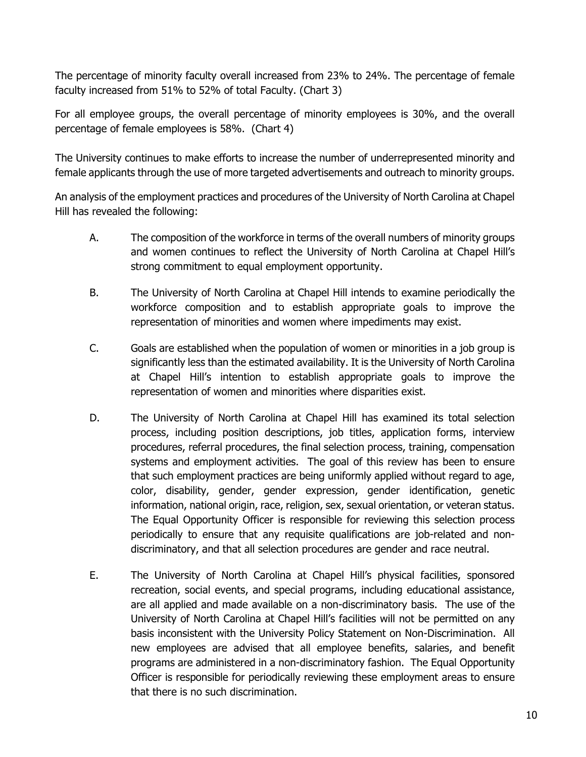The percentage of minority faculty overall increased from 23% to 24%. The percentage of female faculty increased from 51% to 52% of total Faculty. (Chart 3)

For all employee groups, the overall percentage of minority employees is 30%, and the overall percentage of female employees is 58%. (Chart 4)

The University continues to make efforts to increase the number of underrepresented minority and female applicants through the use of more targeted advertisements and outreach to minority groups.

An analysis of the employment practices and procedures of the University of North Carolina at Chapel Hill has revealed the following:

- A. The composition of the workforce in terms of the overall numbers of minority groups and women continues to reflect the University of North Carolina at Chapel Hill's strong commitment to equal employment opportunity.
- B. The University of North Carolina at Chapel Hill intends to examine periodically the workforce composition and to establish appropriate goals to improve the representation of minorities and women where impediments may exist.
- C. Goals are established when the population of women or minorities in a job group is significantly less than the estimated availability. It is the University of North Carolina at Chapel Hill's intention to establish appropriate goals to improve the representation of women and minorities where disparities exist.
- D. The University of North Carolina at Chapel Hill has examined its total selection process, including position descriptions, job titles, application forms, interview procedures, referral procedures, the final selection process, training, compensation systems and employment activities. The goal of this review has been to ensure that such employment practices are being uniformly applied without regard to age, color, disability, gender, gender expression, gender identification, genetic information, national origin, race, religion, sex, sexual orientation, or veteran status. The Equal Opportunity Officer is responsible for reviewing this selection process periodically to ensure that any requisite qualifications are job-related and nondiscriminatory, and that all selection procedures are gender and race neutral.
- E. The University of North Carolina at Chapel Hill's physical facilities, sponsored recreation, social events, and special programs, including educational assistance, are all applied and made available on a non-discriminatory basis. The use of the University of North Carolina at Chapel Hill's facilities will not be permitted on any basis inconsistent with the University Policy Statement on Non-Discrimination. All new employees are advised that all employee benefits, salaries, and benefit programs are administered in a non-discriminatory fashion. The Equal Opportunity Officer is responsible for periodically reviewing these employment areas to ensure that there is no such discrimination.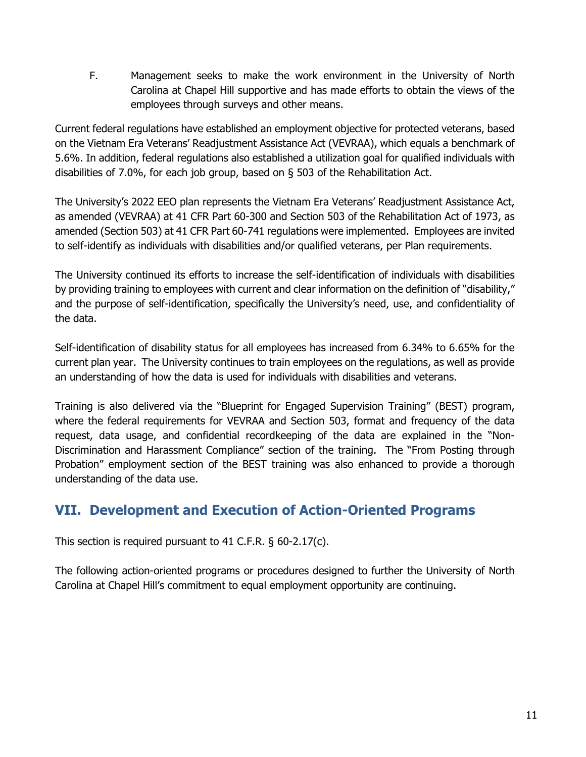F. Management seeks to make the work environment in the University of North Carolina at Chapel Hill supportive and has made efforts to obtain the views of the employees through surveys and other means.

Current federal regulations have established an employment objective for protected veterans, based on the Vietnam Era Veterans' Readjustment Assistance Act (VEVRAA), which equals a benchmark of 5.6%. In addition, federal regulations also established a utilization goal for qualified individuals with disabilities of 7.0%, for each job group, based on § 503 of the Rehabilitation Act.

The University's 2022 EEO plan represents the Vietnam Era Veterans' Readjustment Assistance Act, as amended (VEVRAA) at 41 CFR Part 60-300 and Section 503 of the Rehabilitation Act of 1973, as amended (Section 503) at 41 CFR Part 60-741 regulations were implemented. Employees are invited to self-identify as individuals with disabilities and/or qualified veterans, per Plan requirements.

The University continued its efforts to increase the self-identification of individuals with disabilities by providing training to employees with current and clear information on the definition of "disability," and the purpose of self-identification, specifically the University's need, use, and confidentiality of the data.

Self-identification of disability status for all employees has increased from 6.34% to 6.65% for the current plan year. The University continues to train employees on the regulations, as well as provide an understanding of how the data is used for individuals with disabilities and veterans.

Training is also delivered via the "Blueprint for Engaged Supervision Training" (BEST) program, where the federal requirements for VEVRAA and Section 503, format and frequency of the data request, data usage, and confidential recordkeeping of the data are explained in the "Non-Discrimination and Harassment Compliance" section of the training. The "From Posting through Probation" employment section of the BEST training was also enhanced to provide a thorough understanding of the data use.

# <span id="page-10-0"></span>**VII. Development and Execution of Action-Oriented Programs**

This section is required pursuant to 41 C.F.R. § 60-2.17(c).

The following action-oriented programs or procedures designed to further the University of North Carolina at Chapel Hill's commitment to equal employment opportunity are continuing.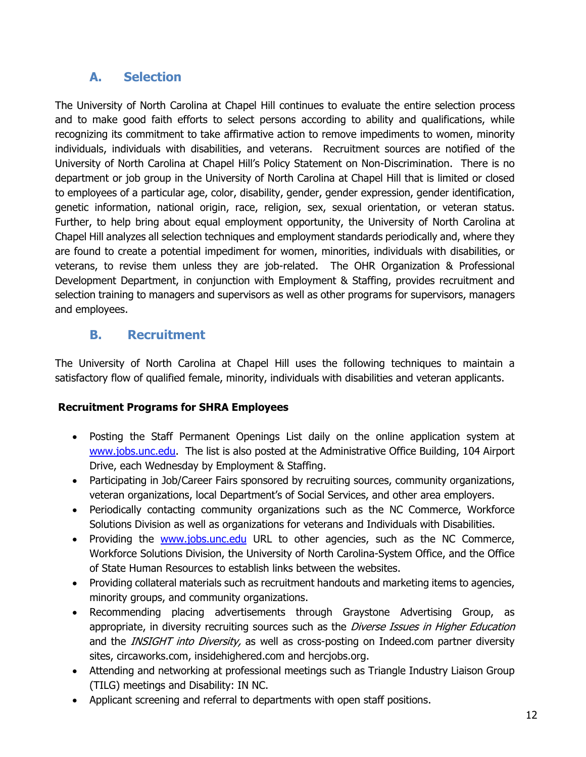### **A. Selection**

<span id="page-11-0"></span>The University of North Carolina at Chapel Hill continues to evaluate the entire selection process and to make good faith efforts to select persons according to ability and qualifications, while recognizing its commitment to take affirmative action to remove impediments to women, minority individuals, individuals with disabilities, and veterans. Recruitment sources are notified of the University of North Carolina at Chapel Hill's Policy Statement on Non-Discrimination. There is no department or job group in the University of North Carolina at Chapel Hill that is limited or closed to employees of a particular age, color, disability, gender, gender expression, gender identification, genetic information, national origin, race, religion, sex, sexual orientation, or veteran status. Further, to help bring about equal employment opportunity, the University of North Carolina at Chapel Hill analyzes all selection techniques and employment standards periodically and, where they are found to create a potential impediment for women, minorities, individuals with disabilities, or veterans, to revise them unless they are job-related. The OHR Organization & Professional Development Department, in conjunction with Employment & Staffing, provides recruitment and selection training to managers and supervisors as well as other programs for supervisors, managers and employees.

#### <span id="page-11-1"></span>**B. Recruitment**

The University of North Carolina at Chapel Hill uses the following techniques to maintain a satisfactory flow of qualified female, minority, individuals with disabilities and veteran applicants.

#### **Recruitment Programs for SHRA Employees**

- Posting the Staff Permanent Openings List daily on the online application system at [www.jobs.unc.edu.](http://www.jobs.unc.edu/) The list is also posted at the Administrative Office Building, 104 Airport Drive, each Wednesday by Employment & Staffing.
- Participating in Job/Career Fairs sponsored by recruiting sources, community organizations, veteran organizations, local Department's of Social Services, and other area employers.
- Periodically contacting community organizations such as the NC Commerce, Workforce Solutions Division as well as organizations for veterans and Individuals with Disabilities.
- Providing the [www.jobs.unc.edu](http://www.jobs.unc.edu/) URL to other agencies, such as the NC Commerce, Workforce Solutions Division, the University of North Carolina-System Office, and the Office of State Human Resources to establish links between the websites.
- Providing collateral materials such as recruitment handouts and marketing items to agencies, minority groups, and community organizations.
- Recommending placing advertisements through Graystone Advertising Group, as appropriate, in diversity recruiting sources such as the Diverse Issues in Higher Education and the INSIGHT into Diversity, as well as cross-posting on Indeed.com partner diversity sites, circaworks.com, insidehighered.com and hercjobs.org.
- Attending and networking at professional meetings such as Triangle Industry Liaison Group (TILG) meetings and Disability: IN NC.
- Applicant screening and referral to departments with open staff positions.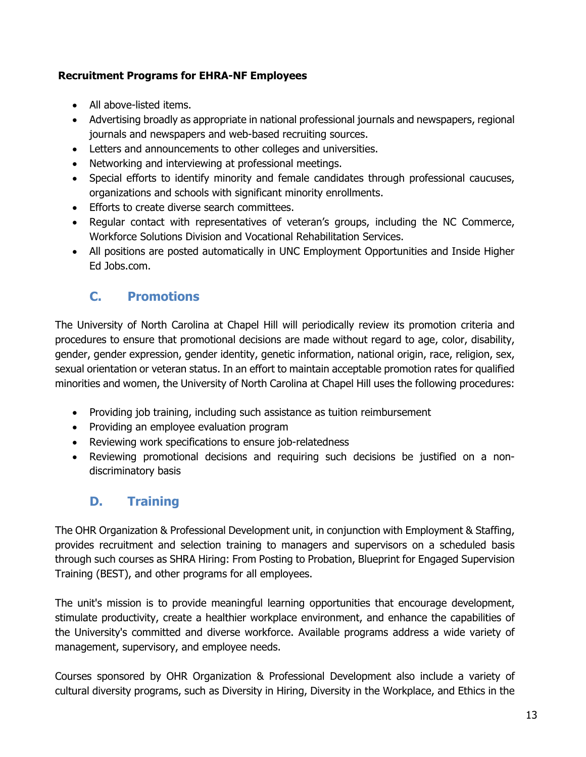#### **Recruitment Programs for EHRA-NF Employees**

- All above-listed items.
- Advertising broadly as appropriate in national professional journals and newspapers, regional journals and newspapers and web-based recruiting sources.
- Letters and announcements to other colleges and universities.
- Networking and interviewing at professional meetings.
- Special efforts to identify minority and female candidates through professional caucuses, organizations and schools with significant minority enrollments.
- Efforts to create diverse search committees.
- Regular contact with representatives of veteran's groups, including the NC Commerce, Workforce Solutions Division and Vocational Rehabilitation Services.
- All positions are posted automatically in UNC Employment Opportunities and Inside Higher Ed Jobs.com.

### <span id="page-12-0"></span>**C. Promotions**

The University of North Carolina at Chapel Hill will periodically review its promotion criteria and procedures to ensure that promotional decisions are made without regard to age, color, disability, gender, gender expression, gender identity, genetic information, national origin, race, religion, sex, sexual orientation or veteran status. In an effort to maintain acceptable promotion rates for qualified minorities and women, the University of North Carolina at Chapel Hill uses the following procedures:

- Providing job training, including such assistance as tuition reimbursement
- Providing an employee evaluation program
- Reviewing work specifications to ensure job-relatedness
- Reviewing promotional decisions and requiring such decisions be justified on a nondiscriminatory basis

# <span id="page-12-1"></span>**D. Training**

The OHR Organization & Professional Development unit, in conjunction with Employment & Staffing, provides recruitment and selection training to managers and supervisors on a scheduled basis through such courses as SHRA Hiring: From Posting to Probation, Blueprint for Engaged Supervision Training (BEST), and other programs for all employees.

The unit's mission is to provide meaningful learning opportunities that encourage development, stimulate productivity, create a healthier workplace environment, and enhance the capabilities of the University's committed and diverse workforce. Available programs address a wide variety of management, supervisory, and employee needs.

Courses sponsored by OHR Organization & Professional Development also include a variety of cultural diversity programs, such as Diversity in Hiring, Diversity in the Workplace, and Ethics in the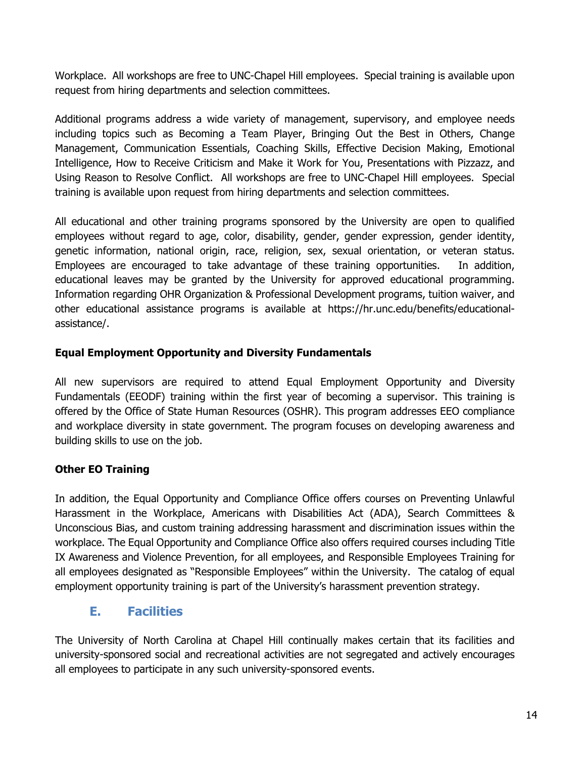Workplace. All workshops are free to UNC-Chapel Hill employees. Special training is available upon request from hiring departments and selection committees.

Additional programs address a wide variety of management, supervisory, and employee needs including topics such as Becoming a Team Player, Bringing Out the Best in Others, Change Management, Communication Essentials, Coaching Skills, Effective Decision Making, Emotional Intelligence, How to Receive Criticism and Make it Work for You, Presentations with Pizzazz, and Using Reason to Resolve Conflict. All workshops are free to UNC-Chapel Hill employees. Special training is available upon request from hiring departments and selection committees.

All educational and other training programs sponsored by the University are open to qualified employees without regard to age, color, disability, gender, gender expression, gender identity, genetic information, national origin, race, religion, sex, sexual orientation, or veteran status. Employees are encouraged to take advantage of these training opportunities. In addition, educational leaves may be granted by the University for approved educational programming. Information regarding OHR Organization & Professional Development programs, tuition waiver, and other educational assistance programs is available at https://hr.unc.edu/benefits/educationalassistance/.

#### **Equal Employment Opportunity and Diversity Fundamentals**

All new supervisors are required to attend Equal Employment Opportunity and Diversity Fundamentals (EEODF) training within the first year of becoming a supervisor. This training is offered by the Office of State Human Resources (OSHR). This program addresses EEO compliance and workplace diversity in state government. The program focuses on developing awareness and building skills to use on the job.

#### **Other EO Training**

In addition, the Equal Opportunity and Compliance Office offers courses on Preventing Unlawful Harassment in the Workplace, Americans with Disabilities Act (ADA), Search Committees & Unconscious Bias, and custom training addressing harassment and discrimination issues within the workplace. The Equal Opportunity and Compliance Office also offers required courses including Title IX Awareness and Violence Prevention, for all employees, and Responsible Employees Training for all employees designated as "Responsible Employees" within the University. The catalog of equal employment opportunity training is part of the University's harassment prevention strategy.

#### <span id="page-13-0"></span>**E. Facilities**

The University of North Carolina at Chapel Hill continually makes certain that its facilities and university-sponsored social and recreational activities are not segregated and actively encourages all employees to participate in any such university-sponsored events.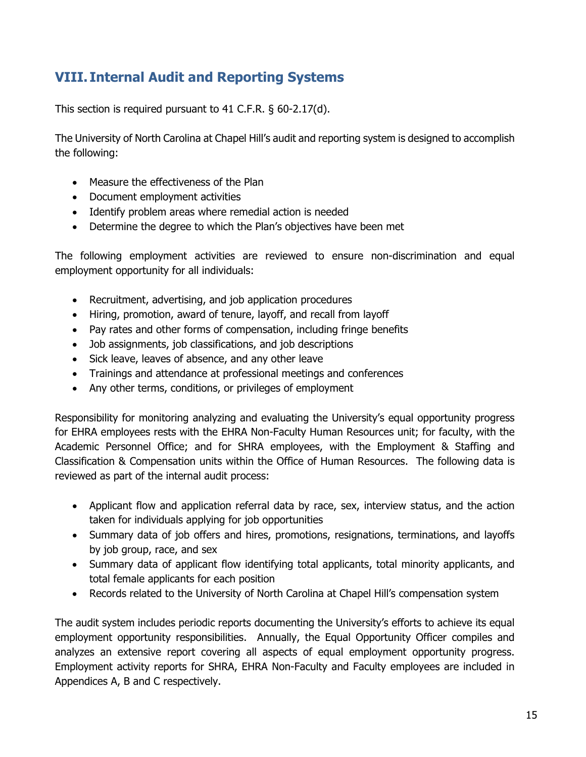# <span id="page-14-0"></span>**VIII. Internal Audit and Reporting Systems**

This section is required pursuant to 41 C.F.R. § 60-2.17(d).

The University of North Carolina at Chapel Hill's audit and reporting system is designed to accomplish the following:

- Measure the effectiveness of the Plan
- Document employment activities
- Identify problem areas where remedial action is needed
- Determine the degree to which the Plan's objectives have been met

The following employment activities are reviewed to ensure non-discrimination and equal employment opportunity for all individuals:

- Recruitment, advertising, and job application procedures
- Hiring, promotion, award of tenure, layoff, and recall from layoff
- Pay rates and other forms of compensation, including fringe benefits
- Job assignments, job classifications, and job descriptions
- Sick leave, leaves of absence, and any other leave
- Trainings and attendance at professional meetings and conferences
- Any other terms, conditions, or privileges of employment

Responsibility for monitoring analyzing and evaluating the University's equal opportunity progress for EHRA employees rests with the EHRA Non-Faculty Human Resources unit; for faculty, with the Academic Personnel Office; and for SHRA employees, with the Employment & Staffing and Classification & Compensation units within the Office of Human Resources. The following data is reviewed as part of the internal audit process:

- Applicant flow and application referral data by race, sex, interview status, and the action taken for individuals applying for job opportunities
- Summary data of job offers and hires, promotions, resignations, terminations, and layoffs by job group, race, and sex
- Summary data of applicant flow identifying total applicants, total minority applicants, and total female applicants for each position
- Records related to the University of North Carolina at Chapel Hill's compensation system

The audit system includes periodic reports documenting the University's efforts to achieve its equal employment opportunity responsibilities. Annually, the Equal Opportunity Officer compiles and analyzes an extensive report covering all aspects of equal employment opportunity progress. Employment activity reports for SHRA, EHRA Non-Faculty and Faculty employees are included in Appendices A, B and C respectively.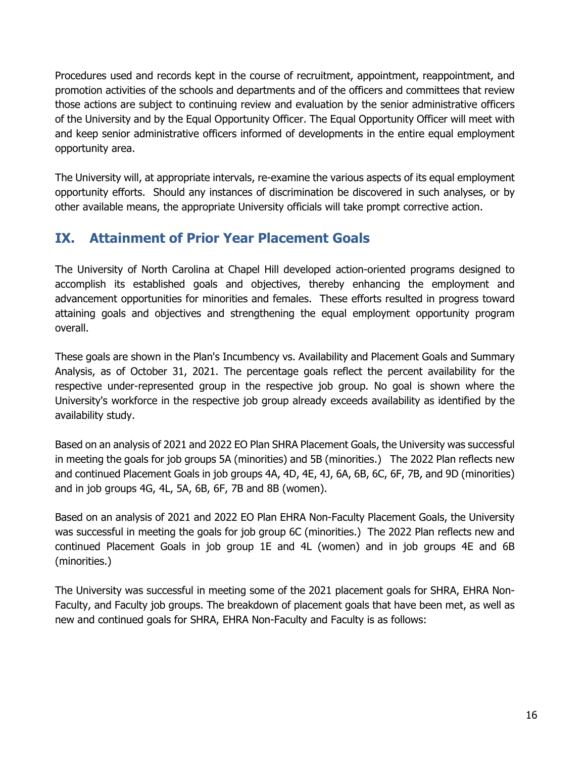Procedures used and records kept in the course of recruitment, appointment, reappointment, and promotion activities of the schools and departments and of the officers and committees that review those actions are subject to continuing review and evaluation by the senior administrative officers of the University and by the Equal Opportunity Officer. The Equal Opportunity Officer will meet with and keep senior administrative officers informed of developments in the entire equal employment opportunity area.

The University will, at appropriate intervals, re-examine the various aspects of its equal employment opportunity efforts. Should any instances of discrimination be discovered in such analyses, or by other available means, the appropriate University officials will take prompt corrective action.

# <span id="page-15-0"></span>**IX. Attainment of Prior Year Placement Goals**

The University of North Carolina at Chapel Hill developed action-oriented programs designed to accomplish its established goals and objectives, thereby enhancing the employment and advancement opportunities for minorities and females. These efforts resulted in progress toward attaining goals and objectives and strengthening the equal employment opportunity program overall.

These goals are shown in the Plan's Incumbency vs. Availability and Placement Goals and Summary Analysis, as of October 31, 2021. The percentage goals reflect the percent availability for the respective under-represented group in the respective job group. No goal is shown where the University's workforce in the respective job group already exceeds availability as identified by the availability study.

Based on an analysis of 2021 and 2022 EO Plan SHRA Placement Goals, the University was successful in meeting the goals for job groups 5A (minorities) and 5B (minorities.) The 2022 Plan reflects new and continued Placement Goals in job groups 4A, 4D, 4E, 4J, 6A, 6B, 6C, 6F, 7B, and 9D (minorities) and in job groups 4G, 4L, 5A, 6B, 6F, 7B and 8B (women).

Based on an analysis of 2021 and 2022 EO Plan EHRA Non-Faculty Placement Goals, the University was successful in meeting the goals for job group 6C (minorities.) The 2022 Plan reflects new and continued Placement Goals in job group 1E and 4L (women) and in job groups 4E and 6B (minorities.)

The University was successful in meeting some of the 2021 placement goals for SHRA, EHRA Non-Faculty, and Faculty job groups. The breakdown of placement goals that have been met, as well as new and continued goals for SHRA, EHRA Non-Faculty and Faculty is as follows: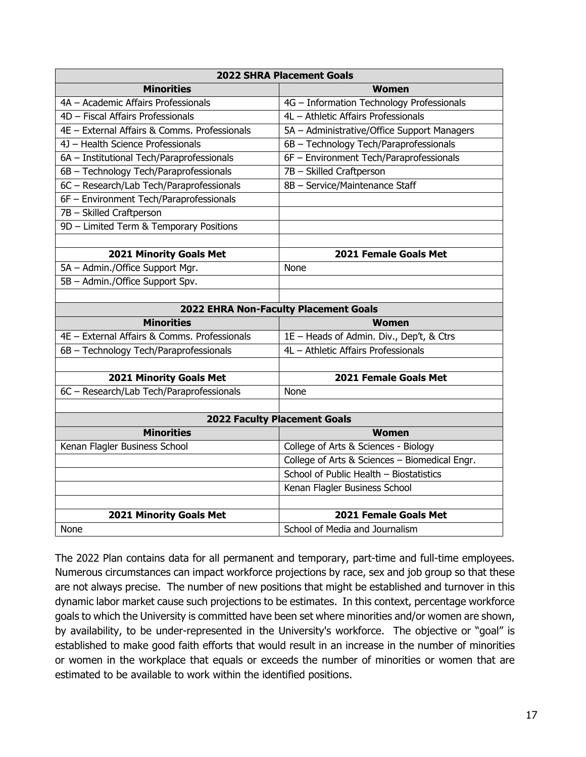| <b>2022 SHRA Placement Goals</b>             |                                               |  |  |
|----------------------------------------------|-----------------------------------------------|--|--|
| <b>Minorities</b>                            | <b>Women</b>                                  |  |  |
| 4A - Academic Affairs Professionals          | 4G - Information Technology Professionals     |  |  |
| 4D - Fiscal Affairs Professionals            | 4L - Athletic Affairs Professionals           |  |  |
| 4E - External Affairs & Comms. Professionals | 5A - Administrative/Office Support Managers   |  |  |
| 4J - Health Science Professionals            | 6B - Technology Tech/Paraprofessionals        |  |  |
| 6A - Institutional Tech/Paraprofessionals    | 6F - Environment Tech/Paraprofessionals       |  |  |
| 6B - Technology Tech/Paraprofessionals       | 7B - Skilled Craftperson                      |  |  |
| 6C - Research/Lab Tech/Paraprofessionals     | 8B - Service/Maintenance Staff                |  |  |
| 6F - Environment Tech/Paraprofessionals      |                                               |  |  |
| 7B - Skilled Craftperson                     |                                               |  |  |
| 9D - Limited Term & Temporary Positions      |                                               |  |  |
|                                              |                                               |  |  |
| <b>2021 Minority Goals Met</b>               | 2021 Female Goals Met                         |  |  |
| 5A - Admin./Office Support Mgr.              | None                                          |  |  |
| 5B - Admin./Office Support Spv.              |                                               |  |  |
|                                              |                                               |  |  |
| 2022 EHRA Non-Faculty Placement Goals        |                                               |  |  |
| <b>Minorities</b>                            | Women                                         |  |  |
| 4E - External Affairs & Comms. Professionals | 1E - Heads of Admin. Div., Dep't, & Ctrs      |  |  |
| 6B - Technology Tech/Paraprofessionals       | 4L - Athletic Affairs Professionals           |  |  |
|                                              |                                               |  |  |
| 2021 Minority Goals Met                      | 2021 Female Goals Met                         |  |  |
| 6C - Research/Lab Tech/Paraprofessionals     | None                                          |  |  |
|                                              |                                               |  |  |
|                                              | <b>2022 Faculty Placement Goals</b>           |  |  |
| <b>Minorities</b>                            | <b>Women</b>                                  |  |  |
| Kenan Flagler Business School                | College of Arts & Sciences - Biology          |  |  |
|                                              | College of Arts & Sciences - Biomedical Engr. |  |  |
|                                              | School of Public Health - Biostatistics       |  |  |
|                                              | Kenan Flagler Business School                 |  |  |
|                                              |                                               |  |  |
| <b>2021 Minority Goals Met</b>               | 2021 Female Goals Met                         |  |  |
| None                                         | School of Media and Journalism                |  |  |

The 2022 Plan contains data for all permanent and temporary, part-time and full-time employees. Numerous circumstances can impact workforce projections by race, sex and job group so that these are not always precise. The number of new positions that might be established and turnover in this dynamic labor market cause such projections to be estimates. In this context, percentage workforce goals to which the University is committed have been set where minorities and/or women are shown, by availability, to be under-represented in the University's workforce. The objective or "goal" is established to make good faith efforts that would result in an increase in the number of minorities or women in the workplace that equals or exceeds the number of minorities or women that are estimated to be available to work within the identified positions.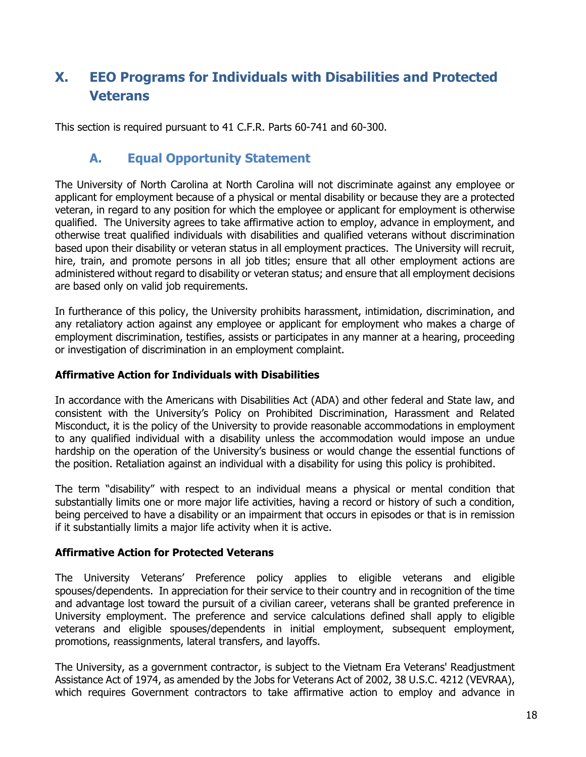# <span id="page-17-0"></span>**X. EEO Programs for Individuals with Disabilities and Protected Veterans**

This section is required pursuant to 41 C.F.R. Parts 60-741 and 60-300.

### <span id="page-17-1"></span>**A. Equal Opportunity Statement**

The University of North Carolina at North Carolina will not discriminate against any employee or applicant for employment because of a physical or mental disability or because they are a protected veteran, in regard to any position for which the employee or applicant for employment is otherwise qualified. The University agrees to take affirmative action to employ, advance in employment, and otherwise treat qualified individuals with disabilities and qualified veterans without discrimination based upon their disability or veteran status in all employment practices. The University will recruit, hire, train, and promote persons in all job titles; ensure that all other employment actions are administered without regard to disability or veteran status; and ensure that all employment decisions are based only on valid job requirements.

In furtherance of this policy, the University prohibits harassment, intimidation, discrimination, and any retaliatory action against any employee or applicant for employment who makes a charge of employment discrimination, testifies, assists or participates in any manner at a hearing, proceeding or investigation of discrimination in an employment complaint.

#### **Affirmative Action for Individuals with Disabilities**

In accordance with the Americans with Disabilities Act (ADA) and other federal and State law, and consistent with the University's Policy on Prohibited Discrimination, Harassment and Related Misconduct, it is the policy of the University to provide reasonable accommodations in employment to any qualified individual with a disability unless the accommodation would impose an undue hardship on the operation of the University's business or would change the essential functions of the position. Retaliation against an individual with a disability for using this policy is prohibited.

The term "disability" with respect to an individual means a physical or mental condition that substantially limits one or more major life activities, having a record or history of such a condition, being perceived to have a disability or an impairment that occurs in episodes or that is in remission if it substantially limits a major life activity when it is active.

#### **Affirmative Action for Protected Veterans**

The University Veterans' Preference policy applies to eligible veterans and eligible spouses/dependents. In appreciation for their service to their country and in recognition of the time and advantage lost toward the pursuit of a civilian career, veterans shall be granted preference in University employment. The preference and service calculations defined shall apply to eligible veterans and eligible spouses/dependents in initial employment, subsequent employment, promotions, reassignments, lateral transfers, and layoffs.

The University, as a government contractor, is subject to the Vietnam Era Veterans' Readjustment Assistance Act of 1974, as amended by the Jobs for Veterans Act of 2002, 38 U.S.C. 4212 (VEVRAA), which requires Government contractors to take affirmative action to employ and advance in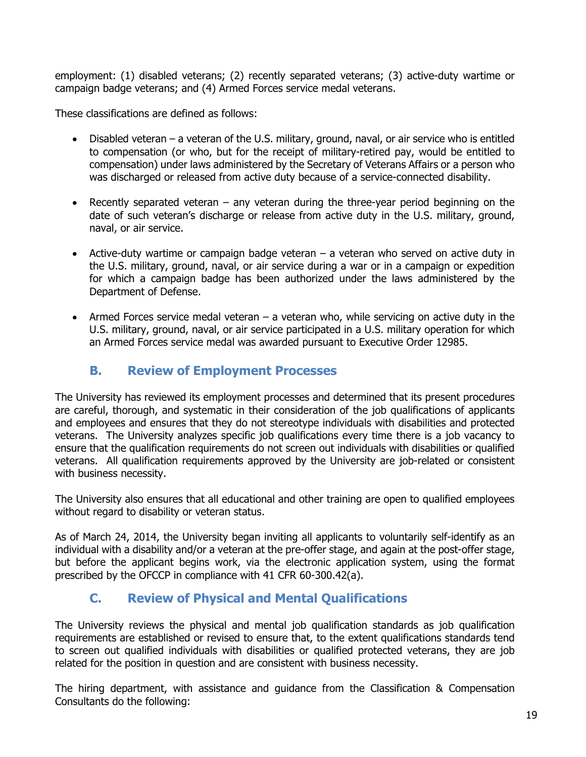employment: (1) disabled veterans; (2) recently separated veterans; (3) active-duty wartime or campaign badge veterans; and (4) Armed Forces service medal veterans.

These classifications are defined as follows:

- Disabled veteran a veteran of the U.S. military, ground, naval, or air service who is entitled to compensation (or who, but for the receipt of military-retired pay, would be entitled to compensation) under laws administered by the Secretary of Veterans Affairs or a person who was discharged or released from active duty because of a service-connected disability.
- Recently separated veteran any veteran during the three-year period beginning on the date of such veteran's discharge or release from active duty in the U.S. military, ground, naval, or air service.
- Active-duty wartime or campaign badge veteran a veteran who served on active duty in the U.S. military, ground, naval, or air service during a war or in a campaign or expedition for which a campaign badge has been authorized under the laws administered by the Department of Defense.
- Armed Forces service medal veteran a veteran who, while servicing on active duty in the U.S. military, ground, naval, or air service participated in a U.S. military operation for which an Armed Forces service medal was awarded pursuant to Executive Order 12985.

### <span id="page-18-0"></span>**B. Review of Employment Processes**

The University has reviewed its employment processes and determined that its present procedures are careful, thorough, and systematic in their consideration of the job qualifications of applicants and employees and ensures that they do not stereotype individuals with disabilities and protected veterans. The University analyzes specific job qualifications every time there is a job vacancy to ensure that the qualification requirements do not screen out individuals with disabilities or qualified veterans. All qualification requirements approved by the University are job-related or consistent with business necessity.

The University also ensures that all educational and other training are open to qualified employees without regard to disability or veteran status.

As of March 24, 2014, the University began inviting all applicants to voluntarily self-identify as an individual with a disability and/or a veteran at the pre-offer stage, and again at the post-offer stage, but before the applicant begins work, via the electronic application system, using the format prescribed by the OFCCP in compliance with 41 CFR 60-300.42(a).

# <span id="page-18-1"></span>**C. Review of Physical and Mental Qualifications**

The University reviews the physical and mental job qualification standards as job qualification requirements are established or revised to ensure that, to the extent qualifications standards tend to screen out qualified individuals with disabilities or qualified protected veterans, they are job related for the position in question and are consistent with business necessity.

The hiring department, with assistance and guidance from the Classification & Compensation Consultants do the following: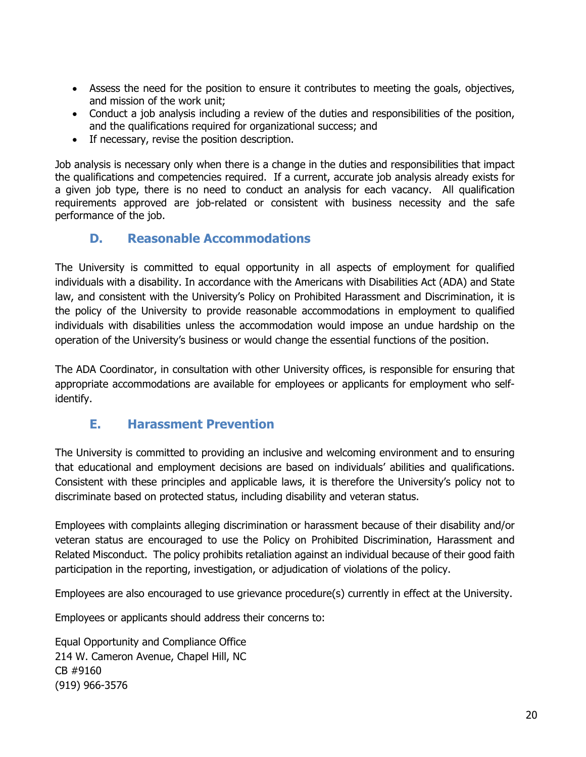- Assess the need for the position to ensure it contributes to meeting the goals, objectives, and mission of the work unit;
- Conduct a job analysis including a review of the duties and responsibilities of the position, and the qualifications required for organizational success; and
- If necessary, revise the position description.

Job analysis is necessary only when there is a change in the duties and responsibilities that impact the qualifications and competencies required. If a current, accurate job analysis already exists for a given job type, there is no need to conduct an analysis for each vacancy. All qualification requirements approved are job-related or consistent with business necessity and the safe performance of the job.

#### <span id="page-19-0"></span>**D. Reasonable Accommodations**

The University is committed to equal opportunity in all aspects of employment for qualified individuals with a disability. In accordance with the Americans with Disabilities Act (ADA) and State law, and consistent with the University's Policy on Prohibited Harassment and Discrimination, it is the policy of the University to provide reasonable accommodations in employment to qualified individuals with disabilities unless the accommodation would impose an undue hardship on the operation of the University's business or would change the essential functions of the position.

The ADA Coordinator, in consultation with other University offices, is responsible for ensuring that appropriate accommodations are available for employees or applicants for employment who selfidentify.

### <span id="page-19-1"></span>**E. Harassment Prevention**

The University is committed to providing an inclusive and welcoming environment and to ensuring that educational and employment decisions are based on individuals' abilities and qualifications. Consistent with these principles and applicable laws, it is therefore the University's policy not to discriminate based on protected status, including disability and veteran status.

Employees with complaints alleging discrimination or harassment because of their disability and/or veteran status are encouraged to use the Policy on Prohibited Discrimination, Harassment and Related Misconduct. The policy prohibits retaliation against an individual because of their good faith participation in the reporting, investigation, or adjudication of violations of the policy.

Employees are also encouraged to use grievance procedure(s) currently in effect at the University.

Employees or applicants should address their concerns to:

Equal Opportunity and Compliance Office 214 W. Cameron Avenue, Chapel Hill, NC CB #9160 (919) 966-3576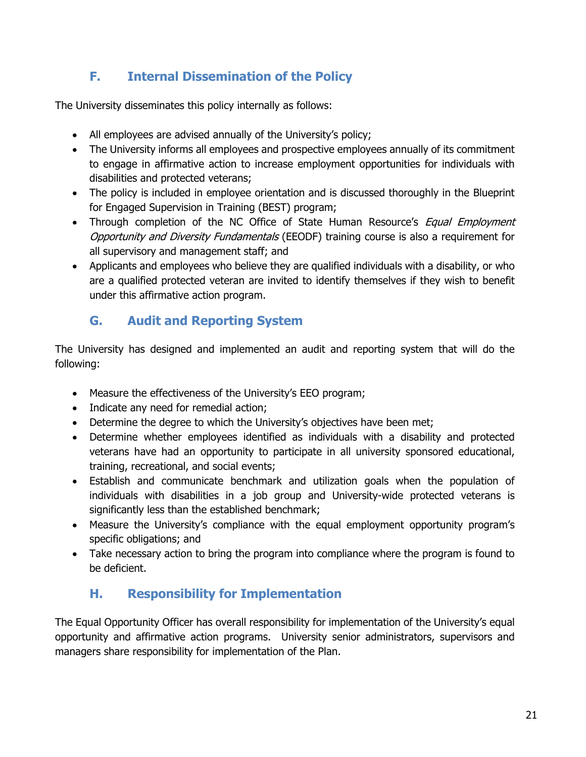# <span id="page-20-0"></span>**F. Internal Dissemination of the Policy**

The University disseminates this policy internally as follows:

- All employees are advised annually of the University's policy;
- The University informs all employees and prospective employees annually of its commitment to engage in affirmative action to increase employment opportunities for individuals with disabilities and protected veterans;
- The policy is included in employee orientation and is discussed thoroughly in the Blueprint for Engaged Supervision in Training (BEST) program;
- Through completion of the NC Office of State Human Resource's *Equal Employment* Opportunity and Diversity Fundamentals (EEODF) training course is also a requirement for all supervisory and management staff; and
- Applicants and employees who believe they are qualified individuals with a disability, or who are a qualified protected veteran are invited to identify themselves if they wish to benefit under this affirmative action program.

# <span id="page-20-1"></span>**G. Audit and Reporting System**

The University has designed and implemented an audit and reporting system that will do the following:

- Measure the effectiveness of the University's EEO program;
- Indicate any need for remedial action;
- Determine the degree to which the University's objectives have been met;
- Determine whether employees identified as individuals with a disability and protected veterans have had an opportunity to participate in all university sponsored educational, training, recreational, and social events;
- Establish and communicate benchmark and utilization goals when the population of individuals with disabilities in a job group and University-wide protected veterans is significantly less than the established benchmark;
- Measure the University's compliance with the equal employment opportunity program's specific obligations; and
- Take necessary action to bring the program into compliance where the program is found to be deficient.

# <span id="page-20-2"></span>**H. Responsibility for Implementation**

The Equal Opportunity Officer has overall responsibility for implementation of the University's equal opportunity and affirmative action programs. University senior administrators, supervisors and managers share responsibility for implementation of the Plan.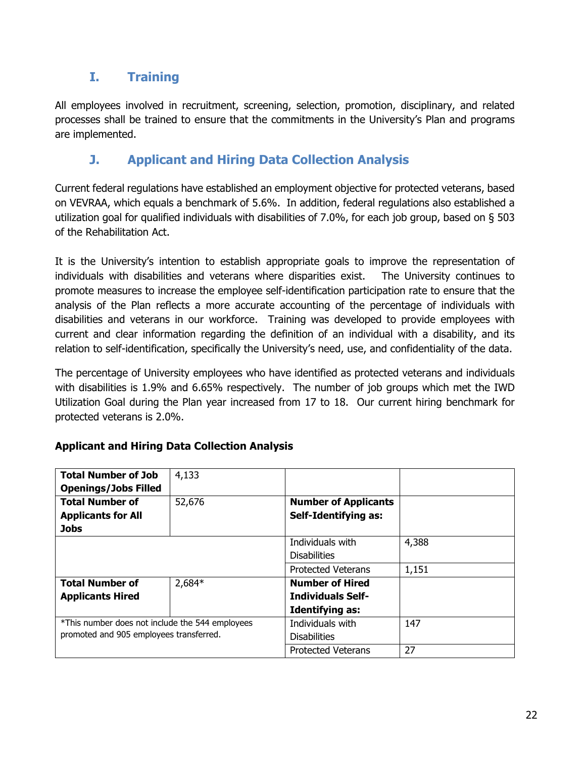# <span id="page-21-0"></span>**I. Training**

All employees involved in recruitment, screening, selection, promotion, disciplinary, and related processes shall be trained to ensure that the commitments in the University's Plan and programs are implemented.

# <span id="page-21-1"></span>**J. Applicant and Hiring Data Collection Analysis**

Current federal regulations have established an employment objective for protected veterans, based on VEVRAA, which equals a benchmark of 5.6%. In addition, federal regulations also established a utilization goal for qualified individuals with disabilities of 7.0%, for each job group, based on § 503 of the Rehabilitation Act.

It is the University's intention to establish appropriate goals to improve the representation of individuals with disabilities and veterans where disparities exist. The University continues to promote measures to increase the employee self-identification participation rate to ensure that the analysis of the Plan reflects a more accurate accounting of the percentage of individuals with disabilities and veterans in our workforce. Training was developed to provide employees with current and clear information regarding the definition of an individual with a disability, and its relation to self-identification, specifically the University's need, use, and confidentiality of the data.

The percentage of University employees who have identified as protected veterans and individuals with disabilities is 1.9% and 6.65% respectively. The number of job groups which met the IWD Utilization Goal during the Plan year increased from 17 to 18. Our current hiring benchmark for protected veterans is 2.0%.

| <b>Total Number of Job</b>                      | 4,133    |                             |       |
|-------------------------------------------------|----------|-----------------------------|-------|
| <b>Openings/Jobs Filled</b>                     |          |                             |       |
| <b>Total Number of</b>                          | 52,676   | <b>Number of Applicants</b> |       |
| <b>Applicants for All</b>                       |          | <b>Self-Identifying as:</b> |       |
| <b>Jobs</b>                                     |          |                             |       |
|                                                 |          | Individuals with            | 4,388 |
|                                                 |          | <b>Disabilities</b>         |       |
|                                                 |          | <b>Protected Veterans</b>   | 1,151 |
| <b>Total Number of</b>                          | $2,684*$ | <b>Number of Hired</b>      |       |
| <b>Applicants Hired</b>                         |          | <b>Individuals Self-</b>    |       |
|                                                 |          | <b>Identifying as:</b>      |       |
| *This number does not include the 544 employees |          | Individuals with            | 147   |
| promoted and 905 employees transferred.         |          | <b>Disabilities</b>         |       |
|                                                 |          | <b>Protected Veterans</b>   | 27    |

#### **Applicant and Hiring Data Collection Analysis**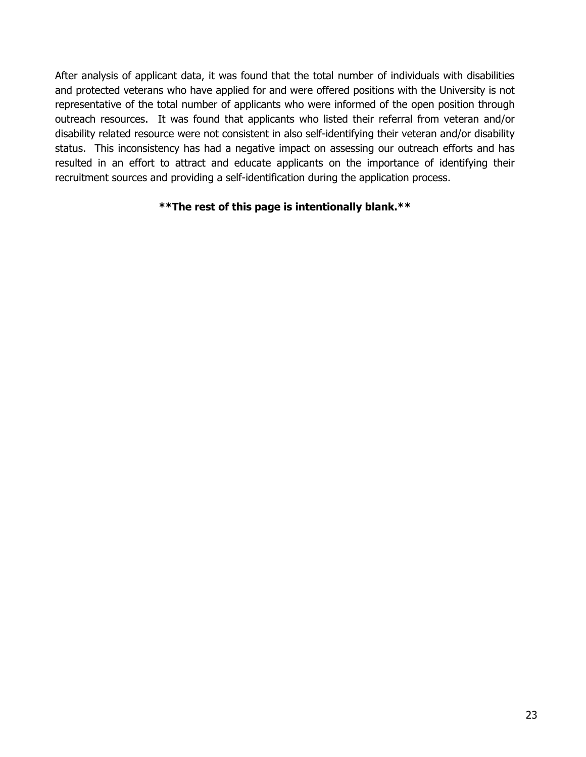After analysis of applicant data, it was found that the total number of individuals with disabilities and protected veterans who have applied for and were offered positions with the University is not representative of the total number of applicants who were informed of the open position through outreach resources. It was found that applicants who listed their referral from veteran and/or disability related resource were not consistent in also self-identifying their veteran and/or disability status. This inconsistency has had a negative impact on assessing our outreach efforts and has resulted in an effort to attract and educate applicants on the importance of identifying their recruitment sources and providing a self-identification during the application process.

#### **\*\*The rest of this page is intentionally blank.\*\***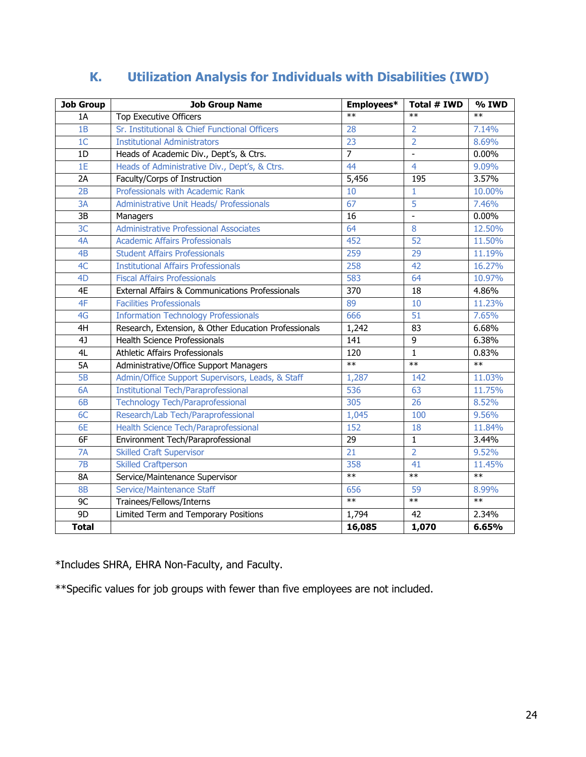| <b>Job Group</b> | <b>Job Group Name</b>                                | Employees*      | Total # IWD    | $\frac{1}{2}$ TWD |
|------------------|------------------------------------------------------|-----------------|----------------|-------------------|
| 1A               | Top Executive Officers                               | $**$            | $**$           | $**$              |
| 1B               | Sr. Institutional & Chief Functional Officers        | 28              | $\overline{2}$ | 7.14%             |
| 1 <sup>C</sup>   | <b>Institutional Administrators</b>                  | 23              | $\overline{2}$ | 8.69%             |
| 1D               | Heads of Academic Div., Dept's, & Ctrs.              | $\overline{7}$  | L.             | 0.00%             |
| 1E               | Heads of Administrative Div., Dept's, & Ctrs.        | 44              | $\overline{4}$ | 9.09%             |
| 2A               | Faculty/Corps of Instruction                         | 5,456           | 195            | 3.57%             |
| 2B               | Professionals with Academic Rank                     | 10              | $\mathbf{1}$   | 10.00%            |
| 3A               | <b>Administrative Unit Heads/ Professionals</b>      | 67              | $\overline{5}$ | 7.46%             |
| 3B               | Managers                                             | 16              | $\frac{1}{2}$  | 0.00%             |
| 3C               | <b>Administrative Professional Associates</b>        | 64              | 8              | 12.50%            |
| 4A               | <b>Academic Affairs Professionals</b>                | 452             | 52             | 11.50%            |
| 4B               | <b>Student Affairs Professionals</b>                 | 259             | 29             | 11.19%            |
| 4C               | <b>Institutional Affairs Professionals</b>           | 258             | 42             | 16.27%            |
| 4 <sub>D</sub>   | <b>Fiscal Affairs Professionals</b>                  | 583             | 64             | 10.97%            |
| 4E               | External Affairs & Communications Professionals      | 370             | 18             | 4.86%             |
| 4F               | <b>Facilities Professionals</b>                      | 89              | 10             | 11.23%            |
| 4G               | <b>Information Technology Professionals</b>          | 666             | 51             | 7.65%             |
| 4H               | Research, Extension, & Other Education Professionals | 1,242           | 83             | 6.68%             |
| 4                | <b>Health Science Professionals</b>                  | 141             | 9              | 6.38%             |
| 4L               | <b>Athletic Affairs Professionals</b>                | 120             | $\overline{1}$ | 0.83%             |
| 5A               | Administrative/Office Support Managers               | $**$            | $**$           | $**$              |
| 5B               | Admin/Office Support Supervisors, Leads, & Staff     | 1,287           | 142            | 11.03%            |
| 6A               | <b>Institutional Tech/Paraprofessional</b>           | 536             | 63             | 11.75%            |
| 6B               | <b>Technology Tech/Paraprofessional</b>              | 305             | 26             | 8.52%             |
| 6C               | Research/Lab Tech/Paraprofessional                   | 1,045           | 100            | 9.56%             |
| 6E               | Health Science Tech/Paraprofessional                 | 152             | 18             | 11.84%            |
| 6F               | Environment Tech/Paraprofessional                    | 29              | $\mathbf{1}$   | 3.44%             |
| 7A               | <b>Skilled Craft Supervisor</b>                      | $\overline{21}$ | $\overline{2}$ | 9.52%             |
| 7B               | <b>Skilled Craftperson</b>                           | 358             | 41             | 11.45%            |
| <b>8A</b>        | Service/Maintenance Supervisor                       | $**$            | $**$           | $**$              |
| <b>8B</b>        | Service/Maintenance Staff                            | 656             | 59             | 8.99%             |
| 9C               | Trainees/Fellows/Interns                             | $\ast$          | $**$           | $**$              |
| 9D               | Limited Term and Temporary Positions                 | 1,794           | 42             | 2.34%             |
| <b>Total</b>     |                                                      | 16,085          | 1,070          | 6.65%             |

# <span id="page-23-0"></span>**K. Utilization Analysis for Individuals with Disabilities (IWD)**

\*Includes SHRA, EHRA Non-Faculty, and Faculty.

\*\*Specific values for job groups with fewer than five employees are not included.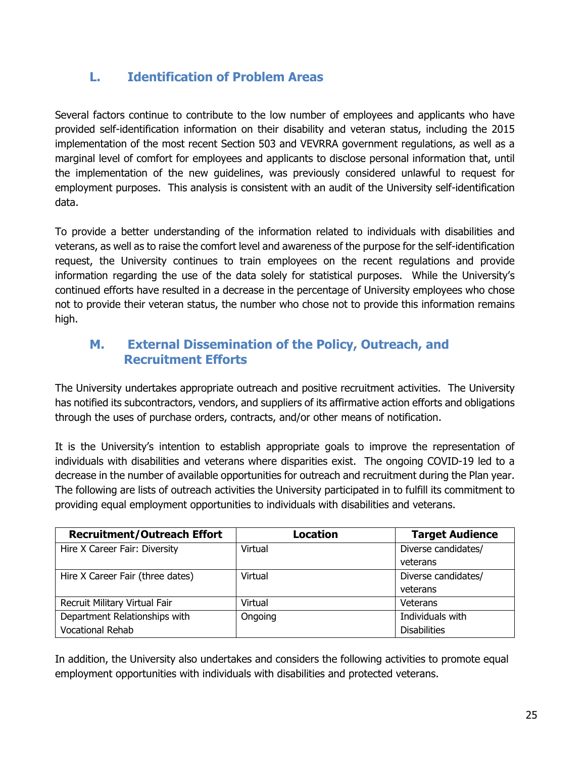# <span id="page-24-0"></span>**L. Identification of Problem Areas**

Several factors continue to contribute to the low number of employees and applicants who have provided self-identification information on their disability and veteran status, including the 2015 implementation of the most recent Section 503 and VEVRRA government regulations, as well as a marginal level of comfort for employees and applicants to disclose personal information that, until the implementation of the new guidelines, was previously considered unlawful to request for employment purposes. This analysis is consistent with an audit of the University self-identification data.

To provide a better understanding of the information related to individuals with disabilities and veterans, as well as to raise the comfort level and awareness of the purpose for the self-identification request, the University continues to train employees on the recent regulations and provide information regarding the use of the data solely for statistical purposes. While the University's continued efforts have resulted in a decrease in the percentage of University employees who chose not to provide their veteran status, the number who chose not to provide this information remains high.

#### <span id="page-24-1"></span>**M. External Dissemination of the Policy, Outreach, and Recruitment Efforts**

The University undertakes appropriate outreach and positive recruitment activities. The University has notified its subcontractors, vendors, and suppliers of its affirmative action efforts and obligations through the uses of purchase orders, contracts, and/or other means of notification.

It is the University's intention to establish appropriate goals to improve the representation of individuals with disabilities and veterans where disparities exist. The ongoing COVID-19 led to a decrease in the number of available opportunities for outreach and recruitment during the Plan year. The following are lists of outreach activities the University participated in to fulfill its commitment to providing equal employment opportunities to individuals with disabilities and veterans.

| <b>Recruitment/Outreach Effort</b> | Location | <b>Target Audience</b> |
|------------------------------------|----------|------------------------|
| Hire X Career Fair: Diversity      | Virtual  | Diverse candidates/    |
|                                    |          | veterans               |
| Hire X Career Fair (three dates)   | Virtual  | Diverse candidates/    |
|                                    |          | veterans               |
| Recruit Military Virtual Fair      | Virtual  | Veterans               |
| Department Relationships with      | Ongoing  | Individuals with       |
| <b>Vocational Rehab</b>            |          | <b>Disabilities</b>    |

In addition, the University also undertakes and considers the following activities to promote equal employment opportunities with individuals with disabilities and protected veterans.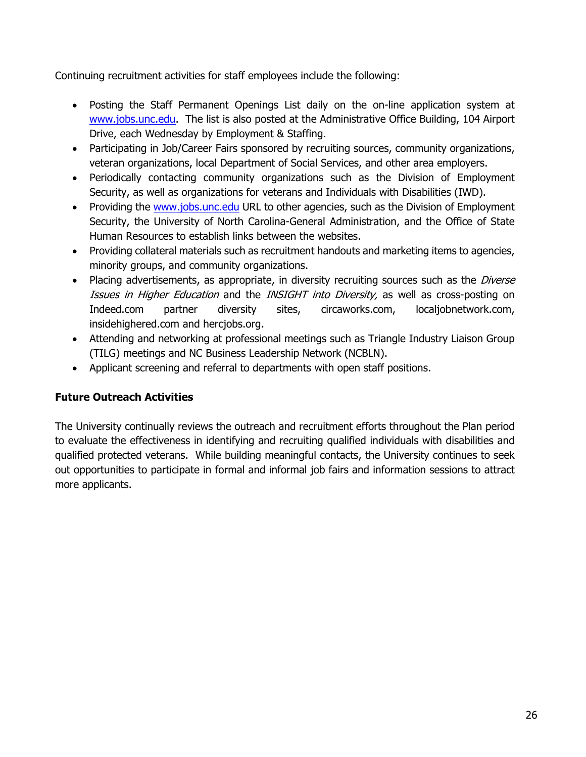Continuing recruitment activities for staff employees include the following:

- Posting the Staff Permanent Openings List daily on the on-line application system at [www.jobs.unc.edu.](http://www.jobs.unc.edu/) The list is also posted at the Administrative Office Building, 104 Airport Drive, each Wednesday by Employment & Staffing.
- Participating in Job/Career Fairs sponsored by recruiting sources, community organizations, veteran organizations, local Department of Social Services, and other area employers.
- Periodically contacting community organizations such as the Division of Employment Security, as well as organizations for veterans and Individuals with Disabilities (IWD).
- Providing the [www.jobs.unc.edu](http://www.jobs.unc.edu/) URL to other agencies, such as the Division of Employment Security, the University of North Carolina-General Administration, and the Office of State Human Resources to establish links between the websites.
- Providing collateral materials such as recruitment handouts and marketing items to agencies, minority groups, and community organizations.
- Placing advertisements, as appropriate, in diversity recruiting sources such as the *Diverse* Issues in Higher Education and the INSIGHT into Diversity, as well as cross-posting on Indeed.com partner diversity sites, circaworks.com, localjobnetwork.com, insidehighered.com and hercjobs.org.
- Attending and networking at professional meetings such as Triangle Industry Liaison Group (TILG) meetings and NC Business Leadership Network (NCBLN).
- Applicant screening and referral to departments with open staff positions.

#### **Future Outreach Activities**

The University continually reviews the outreach and recruitment efforts throughout the Plan period to evaluate the effectiveness in identifying and recruiting qualified individuals with disabilities and qualified protected veterans. While building meaningful contacts, the University continues to seek out opportunities to participate in formal and informal job fairs and information sessions to attract more applicants.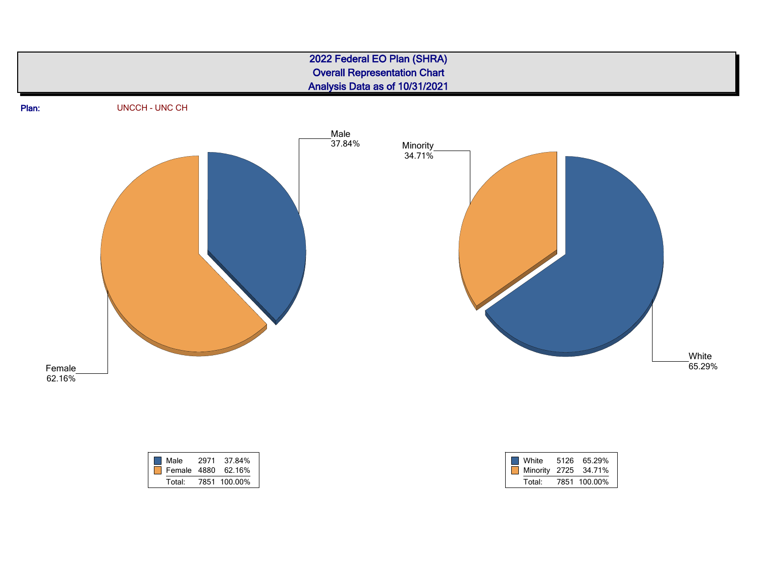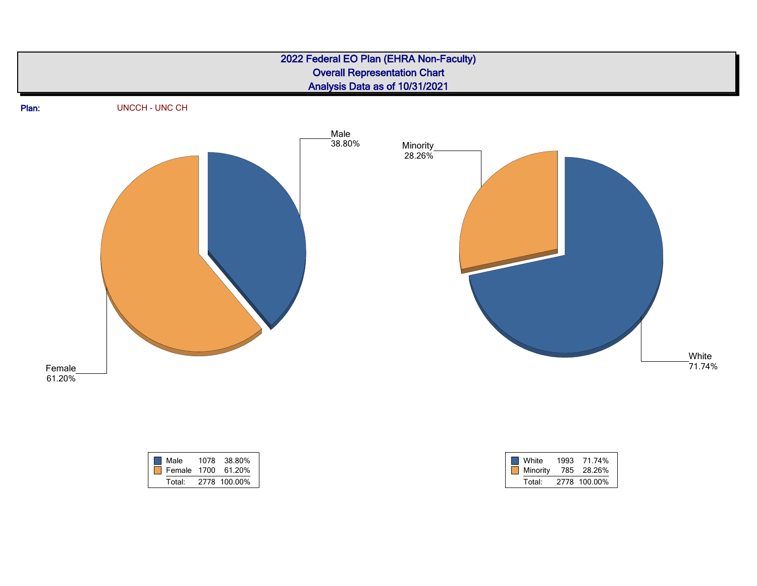![](_page_27_Figure_0.jpeg)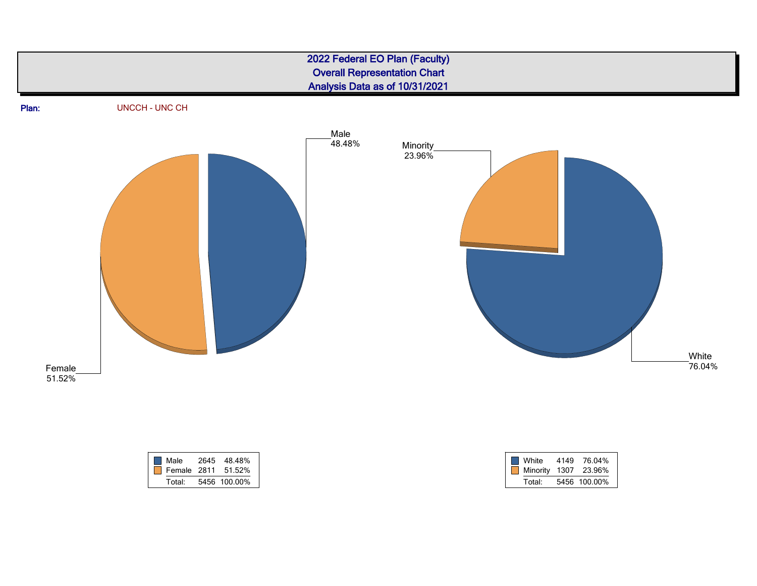![](_page_28_Figure_0.jpeg)